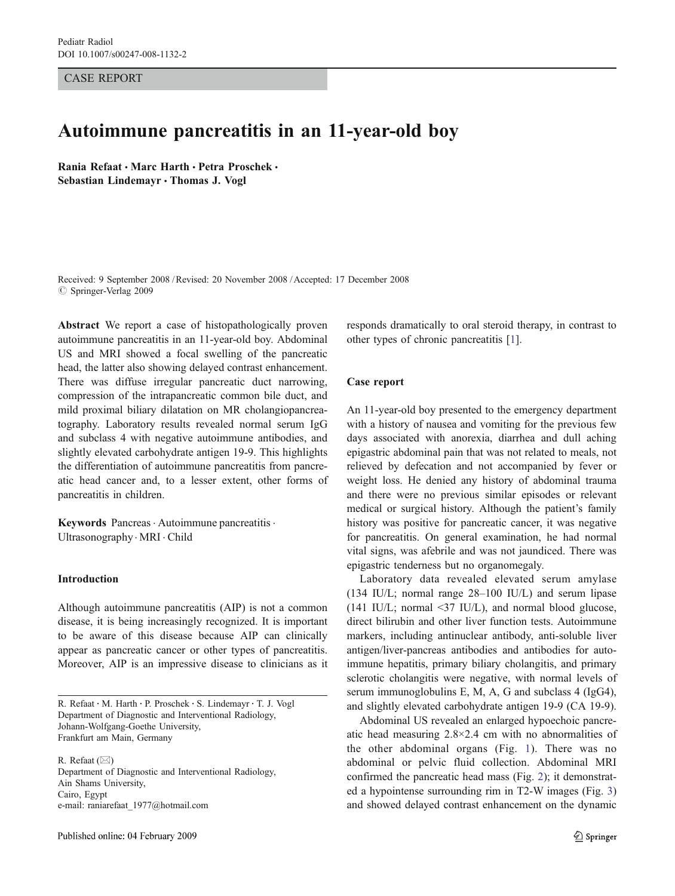CASE REPORT

# Autoimmune pancreatitis in an 11-year-old boy

Rania Refaat · Marc Harth · Petra Proschek · Sebastian Lindemayr & Thomas J. Vogl

Received: 9 September 2008 /Revised: 20 November 2008 /Accepted: 17 December 2008  $\circ$  Springer-Verlag 2009

Abstract We report a case of histopathologically proven autoimmune pancreatitis in an 11-year-old boy. Abdominal US and MRI showed a focal swelling of the pancreatic head, the latter also showing delayed contrast enhancement. There was diffuse irregular pancreatic duct narrowing, compression of the intrapancreatic common bile duct, and mild proximal biliary dilatation on MR cholangiopancreatography. Laboratory results revealed normal serum IgG and subclass 4 with negative autoimmune antibodies, and slightly elevated carbohydrate antigen 19-9. This highlights the differentiation of autoimmune pancreatitis from pancreatic head cancer and, to a lesser extent, other forms of pancreatitis in children.

Keywords Pancreas . Autoimmune pancreatitis. Ultrasonography. MRI . Child

## Introduction

Although autoimmune pancreatitis (AIP) is not a common disease, it is being increasingly recognized. It is important to be aware of this disease because AIP can clinically appear as pancreatic cancer or other types of pancreatitis. Moreover, AIP is an impressive disease to clinicians as it

R. Refaat (*\**) Department of Diagnostic and Interventional Radiology, Ain Shams University, Cairo, Egypt e-mail: raniarefaat\_1977@hotmail.com

responds dramatically to oral steroid therapy, in contrast to other types of chronic pancreatitis [\[1](#page-3-0)].

#### Case report

An 11-year-old boy presented to the emergency department with a history of nausea and vomiting for the previous few days associated with anorexia, diarrhea and dull aching epigastric abdominal pain that was not related to meals, not relieved by defecation and not accompanied by fever or weight loss. He denied any history of abdominal trauma and there were no previous similar episodes or relevant medical or surgical history. Although the patient's family history was positive for pancreatic cancer, it was negative for pancreatitis. On general examination, he had normal vital signs, was afebrile and was not jaundiced. There was epigastric tenderness but no organomegaly.

Laboratory data revealed elevated serum amylase (134 IU/L; normal range 28–100 IU/L) and serum lipase (141 IU/L; normal  $\leq$ 37 IU/L), and normal blood glucose, direct bilirubin and other liver function tests. Autoimmune markers, including antinuclear antibody, anti-soluble liver antigen/liver-pancreas antibodies and antibodies for autoimmune hepatitis, primary biliary cholangitis, and primary sclerotic cholangitis were negative, with normal levels of serum immunoglobulins E, M, A, G and subclass 4 (IgG4), and slightly elevated carbohydrate antigen 19-9 (CA 19-9).

Abdominal US revealed an enlarged hypoechoic pancreatic head measuring 2.8×2.4 cm with no abnormalities of the other abdominal organs (Fig. [1\)](#page-1-0). There was no abdominal or pelvic fluid collection. Abdominal MRI confirmed the pancreatic head mass (Fig. [2\)](#page-1-0); it demonstrated a hypointense surrounding rim in T2-W images (Fig. [3](#page-2-0)) and showed delayed contrast enhancement on the dynamic

R. Refaat : M. Harth : P. Proschek : S. Lindemayr : T. J. Vogl Department of Diagnostic and Interventional Radiology, Johann-Wolfgang-Goethe University, Frankfurt am Main, Germany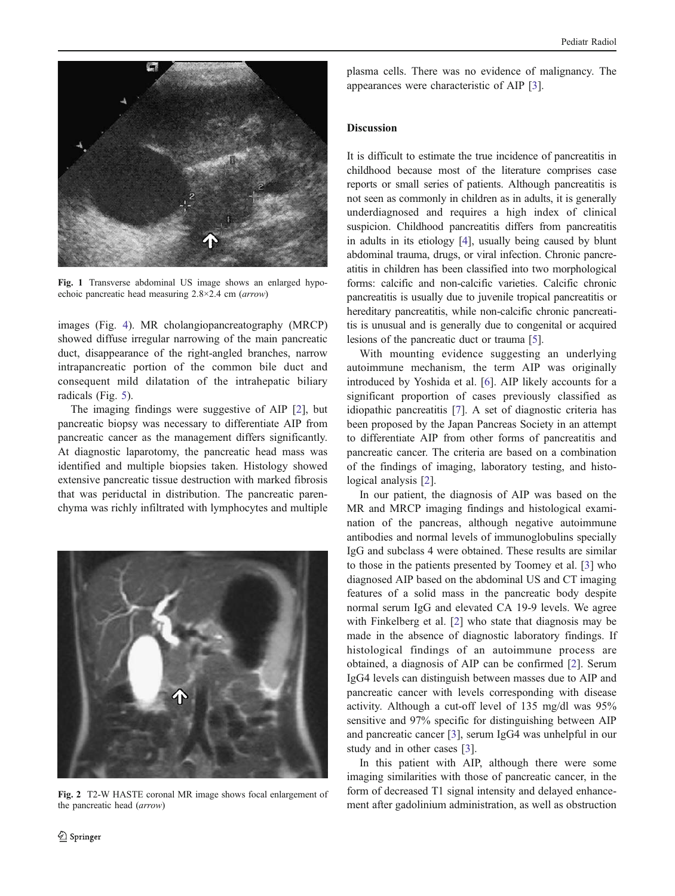<span id="page-1-0"></span>

Fig. 1 Transverse abdominal US image shows an enlarged hypoechoic pancreatic head measuring 2.8×2.4 cm (arrow)

images (Fig. [4](#page-2-0)). MR cholangiopancreatography (MRCP) showed diffuse irregular narrowing of the main pancreatic duct, disappearance of the right-angled branches, narrow intrapancreatic portion of the common bile duct and consequent mild dilatation of the intrahepatic biliary radicals (Fig. [5](#page-2-0)).

The imaging findings were suggestive of AIP [\[2](#page-3-0)], but pancreatic biopsy was necessary to differentiate AIP from pancreatic cancer as the management differs significantly. At diagnostic laparotomy, the pancreatic head mass was identified and multiple biopsies taken. Histology showed extensive pancreatic tissue destruction with marked fibrosis that was periductal in distribution. The pancreatic parenchyma was richly infiltrated with lymphocytes and multiple



Fig. 2 T2-W HASTE coronal MR image shows focal enlargement of the pancreatic head (arrow)

plasma cells. There was no evidence of malignancy. The appearances were characteristic of AIP [[3\]](#page-3-0).

### Discussion

It is difficult to estimate the true incidence of pancreatitis in childhood because most of the literature comprises case reports or small series of patients. Although pancreatitis is not seen as commonly in children as in adults, it is generally underdiagnosed and requires a high index of clinical suspicion. Childhood pancreatitis differs from pancreatitis in adults in its etiology [\[4\]](#page-3-0), usually being caused by blunt abdominal trauma, drugs, or viral infection. Chronic pancreatitis in children has been classified into two morphological forms: calcific and non-calcific varieties. Calcific chronic pancreatitis is usually due to juvenile tropical pancreatitis or hereditary pancreatitis, while non-calcific chronic pancreatitis is unusual and is generally due to congenital or acquired lesions of the pancreatic duct or trauma [[5\]](#page-3-0).

With mounting evidence suggesting an underlying autoimmune mechanism, the term AIP was originally introduced by Yoshida et al. [[6\]](#page-3-0). AIP likely accounts for a significant proportion of cases previously classified as idiopathic pancreatitis [\[7](#page-3-0)]. A set of diagnostic criteria has been proposed by the Japan Pancreas Society in an attempt to differentiate AIP from other forms of pancreatitis and pancreatic cancer. The criteria are based on a combination of the findings of imaging, laboratory testing, and histological analysis [[2\]](#page-3-0).

In our patient, the diagnosis of AIP was based on the MR and MRCP imaging findings and histological examination of the pancreas, although negative autoimmune antibodies and normal levels of immunoglobulins specially IgG and subclass 4 were obtained. These results are similar to those in the patients presented by Toomey et al. [[3\]](#page-3-0) who diagnosed AIP based on the abdominal US and CT imaging features of a solid mass in the pancreatic body despite normal serum IgG and elevated CA 19-9 levels. We agree with Finkelberg et al. [[2\]](#page-3-0) who state that diagnosis may be made in the absence of diagnostic laboratory findings. If histological findings of an autoimmune process are obtained, a diagnosis of AIP can be confirmed [\[2](#page-3-0)]. Serum IgG4 levels can distinguish between masses due to AIP and pancreatic cancer with levels corresponding with disease activity. Although a cut-off level of 135 mg/dl was 95% sensitive and 97% specific for distinguishing between AIP and pancreatic cancer [\[3](#page-3-0)], serum IgG4 was unhelpful in our study and in other cases [\[3](#page-3-0)].

In this patient with AIP, although there were some imaging similarities with those of pancreatic cancer, in the form of decreased T1 signal intensity and delayed enhancement after gadolinium administration, as well as obstruction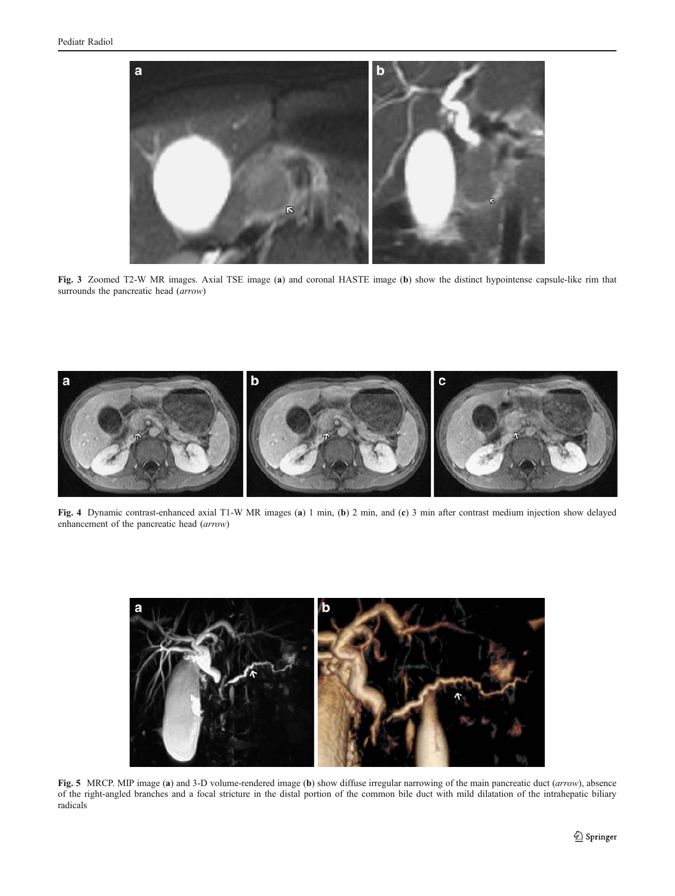<span id="page-2-0"></span>

Fig. 3 Zoomed T2-W MR images. Axial TSE image (a) and coronal HASTE image (b) show the distinct hypointense capsule-like rim that surrounds the pancreatic head (arrow)



Fig. 4 Dynamic contrast-enhanced axial T1-W MR images (a) 1 min, (b) 2 min, and (c) 3 min after contrast medium injection show delayed enhancement of the pancreatic head (arrow)

![](_page_2_Figure_5.jpeg)

Fig. 5 MRCP. MIP image (a) and 3-D volume-rendered image (b) show diffuse irregular narrowing of the main pancreatic duct (arrow), absence of the right-angled branches and a focal stricture in the distal portion of the common bile duct with mild dilatation of the intrahepatic biliary radicals